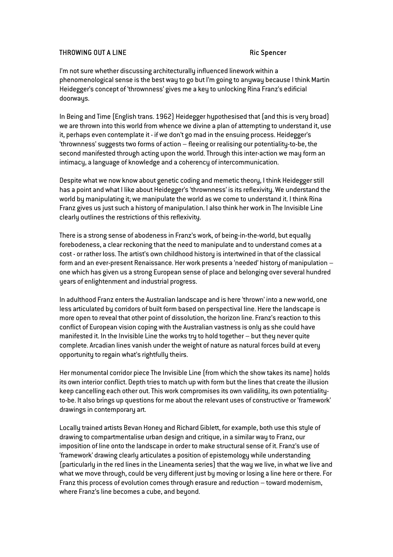## THROWING OUT A LINE Ric Spencer

I'm not sure whether discussing architecturally influenced linework within a phenomenological sense is the best way to go but I'm going to anyway because I think Martin Heidegger's concept of 'thrownness' gives me a key to unlocking Rina Franz's edificial doorways.

In Being and Time (English trans. 1962) Heidegger hypothesised that (and this is very broad) we are thrown into this world from whence we divine a plan of attempting to understand it, use it, perhaps even contemplate it - if we don't go mad in the ensuing process. Heidegger's 'thrownness' suggests two forms of action – fleeing or realising our potentiality-to-be, the second manifested through acting upon the world. Through this inter-action we may form an intimacy, a language of knowledge and a coherency of intercommunication.

Despite what we now know about genetic coding and memetic theory, I think Heidegger still has a point and what I like about Heidegger's 'thrownness' is its reflexivity. We understand the world by manipulating it; we manipulate the world as we come to understand it. I think Rina Franz gives us just such a history of manipulation. I also think her work in The Invisible Line clearly outlines the restrictions of this reflexivity.

There is a strong sense of abodeness in Franz's work, of being-in-the-world, but equally forebodeness, a clear reckoning that the need to manipulate and to understand comes at a cost - or rather loss. The artist's own childhood history is intertwined in that of the classical form and an ever-present Renaissance. Her work presents a 'needed' history of manipulation – one which has given us a strong European sense of place and belonging over several hundred years of enlightenment and industrial progress.

In adulthood Franz enters the Australian landscape and is here 'thrown' into a new world, one less articulated by corridors of built form based on perspectival line. Here the landscape is more open to reveal that other point of dissolution, the horizon line. Franz's reaction to this conflict of European vision coping with the Australian vastness is only as she could have manifested it. In the Invisible Line the works try to hold together – but they never quite complete. Arcadian lines vanish under the weight of nature as natural forces build at every opportunity to regain what's rightfully theirs.

Her monumental corridor piece The Invisible Line (from which the show takes its name) holds its own interior conflict. Depth tries to match up with form but the lines that create the illusion keep cancelling each other out. This work compromises its own validility, its own potentialityto-be. It also brings up questions for me about the relevant uses of constructive or 'framework' drawings in contemporary art.

Locally trained artists Bevan Honey and Richard Giblett, for example, both use this style of drawing to compartmentalise urban design and critique, in a similar way to Franz, our imposition of line onto the landscape in order to make structural sense of it. Franz's use of 'framework' drawing clearly articulates a position of epistemology while understanding (particularly in the red lines in the Lineamenta series) that the way we live, in what we live and what we move through, could be very different just by moving or losing a line here or there. For Franz this process of evolution comes through erasure and reduction – toward modernism, where Franz's line becomes a cube, and beyond.